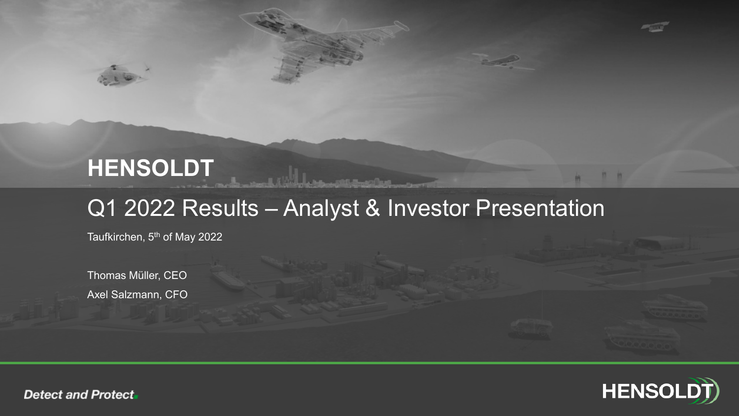## **HENSOLDT**

#### Q1 2022 Results – Analyst & Investor Presentation

Taufkirchen, 5<sup>th</sup> of May 2022

Thomas Müller, CEO Axel Salzmann, CFO

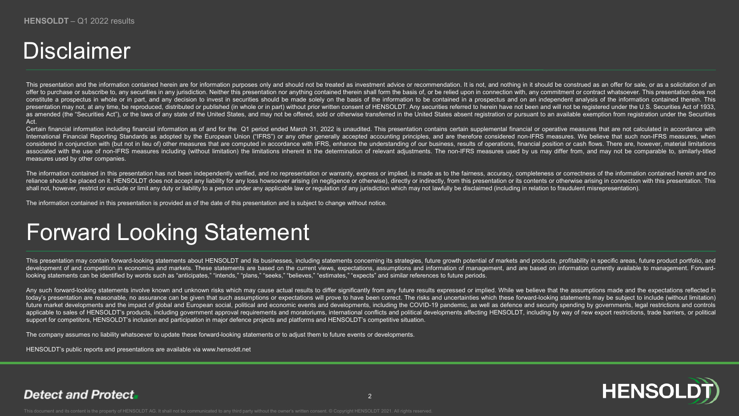## Disclaimer

This presentation and the information contained herein are for information purposes only and should not be treated as investment advice or recommendation. It is not, and nothing in it should be construed as an offer for sa offer to purchase or subscribe to, any securities in any jurisdiction. Neither this presentation nor anything contained therein shall form the basis of, or be relied upon in connection with, any commitment or contract what constitute a prospectus in whole or in part, and any decision to invest in securities should be made solely on the basis of the information to be contained in a prospectus and on an independent analysis of the information presentation may not, at any time, be reproduced, distributed or published (in whole or in part) without prior written consent of HENSOLDT. Any securities referred to herein have not been and will not be registered under t as amended (the "Securities Act"), or the laws of any state of the United States, and may not be offered, sold or otherwise transferred in the United States absent registration or pursuant to an available exemption from re Act.

Certain financial information including financial information as of and for the Q1 period ended March 31, 2022 is unaudited. This presentation contains certain supplemental financial or operative measures that are not calc International Financial Reporting Standards as adopted by the European Union ("IFRS") or any other generally accepted accounting principles, and are therefore considered non-IFRS measures. We believe that such non-IFRS mea considered in conjunction with (but not in lieu of) other measures that are computed in accordance with IFRS, enhance the understanding of our business, results of operations, financial position or cash flows. There are, h associated with the use of non-IFRS measures including (without limitation) the limitations inherent in the determination of relevant adjustments. The non-IFRS measures used by us may differ from, and may not be comparable measures used by other companies.

The information contained in this presentation has not been independently verified, and no representation or warranty, express or implied, is made as to the fairness, accuracy, completeness or correctness of the informatio reliance should be placed on it. HENSOLDT does not accept any liability for any loss howsoever arising (in negligence or otherwise), directly or indirectly, from this presentation or its contents or otherwise arising in co shall not, however, restrict or exclude or limit any duty or liability to a person under any applicable law or requlation of any jurisdiction which may not lawfully be disclaimed (including in relation to fraudulent misrep

The information contained in this presentation is provided as of the date of this presentation and is subject to change without notice.

#### Forward Looking Statement

This presentation may contain forward-looking statements about HENSOLDT and its businesses, including statements concerning its strategies, future growth potential of markets and products, profitability in specific areas, development of and competition in economics and markets. These statements are based on the current views, expectations, assumptions and information of management, and are based on information currently available to managem looking statements can be identified by words such as "anticipates," "intends," "plans," "seeks," "believes," "estimates," "expects" and similar references to future periods.

Any such forward-looking statements involve known and unknown risks which may cause actual results to differ significantly from any future results expressed or implied. While we believe that the assumptions made and the ex today's presentation are reasonable, no assurance can be given that such assumptions or expectations will prove to have been correct. The risks and uncertainties which these forward-looking statements may be subject to inc future market developments and the impact of global and European social, political and economic events and developments, including the COVID-19 pandemic, as well as defence and security spending by governments, legal restr applicable to sales of HENSOLDT's products, including government approval requirements and moratoriums, international conflicts and political developments affecting HENSOLDT, including by way of new export restrictions, tr support for competitors, HENSOLDT's inclusion and participation in major defence projects and platforms and HENSOLDT's competitive situation.

The company assumes no liability whatsoever to update these forward-looking statements or to adjust them to future events or developments.

HENSOLDT's public reports and presentations are available via www.hensoldt.net

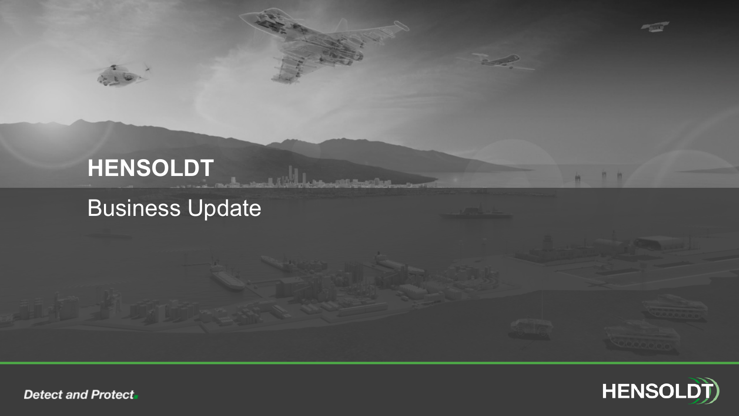# **HENSOLDT** Business Update

*<u>ALEMANDINE</u>* 



竹竹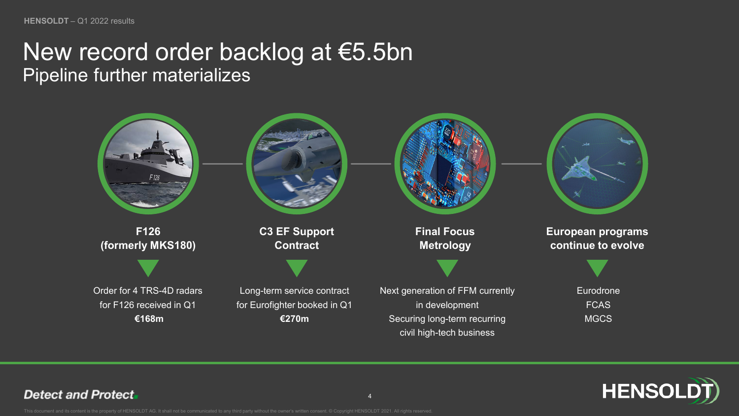#### New record order backlog at €5.5bn Pipeline further materializes



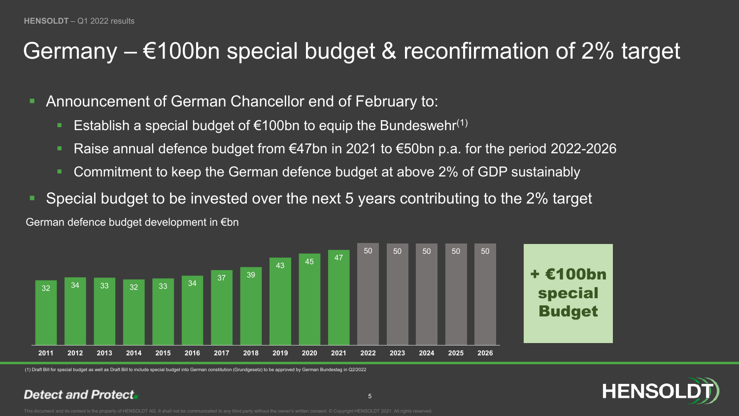#### Germany –  $\epsilon$ 100bn special budget & reconfirmation of 2% target

- Announcement of German Chancellor end of February to:
	- Establish a special budget of  $\epsilon$ 100bn to equip the Bundeswehr<sup>(1)</sup>
	- Raise annual defence budget from €47bn in 2021 to €50bn p.a. for the period 2022-2026
	- Commitment to keep the German defence budget at above 2% of GDP sustainably
- Special budget to be invested over the next 5 years contributing to the 2% target





(1) Draft Bill for special budget as well as Draft Bill to include special budget into German constitution (Grundgesetz) to be approved by German Bundestag in Q2/2022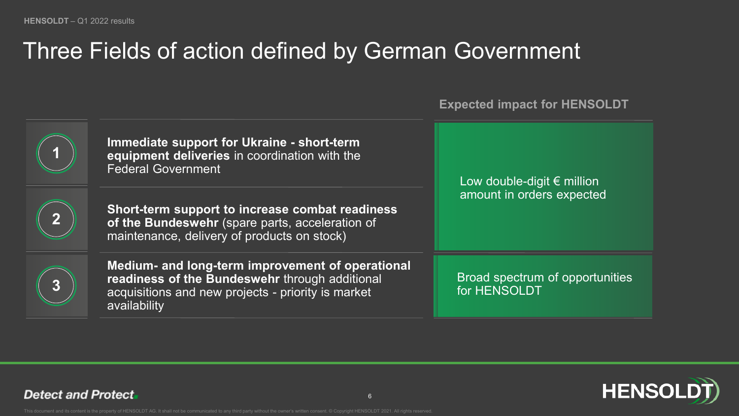## Three Fields of action defined by German Government

**Expected impact for HENSOLDT**



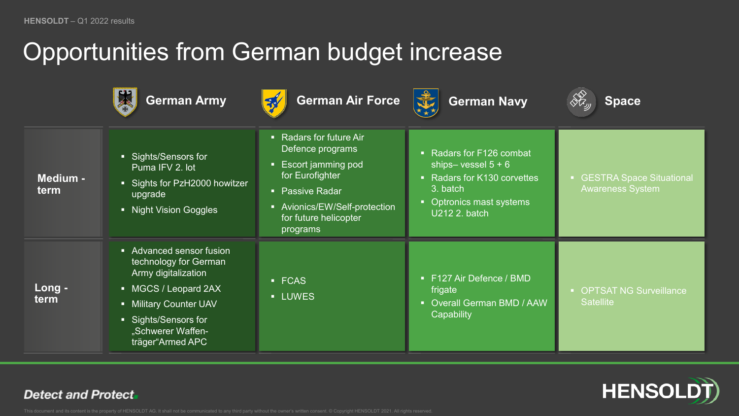## Opportunities from German budget increase

|                  | <b>German Army</b>                                                                                                                                                                          | German Air Force                                                                                                                                                                | <b>German Navy</b>                                                                                                                                       | <b>Space</b>                                               |
|------------------|---------------------------------------------------------------------------------------------------------------------------------------------------------------------------------------------|---------------------------------------------------------------------------------------------------------------------------------------------------------------------------------|----------------------------------------------------------------------------------------------------------------------------------------------------------|------------------------------------------------------------|
| Medium -<br>term | • Sights/Sensors for<br>Puma IFV 2. lot<br>Sights for PzH2000 howitzer<br>upgrade<br>• Night Vision Goggles                                                                                 | • Radars for future Air<br>Defence programs<br>■ Escort jamming pod<br>for Eurofighter<br>• Passive Radar<br>■ Avionics/EW/Self-protection<br>for future helicopter<br>programs | • Radars for F126 combat<br>ships-vessel $5 + 6$<br>• Radars for K130 corvettes<br>3. batch<br>Optronics mast systems<br>$\blacksquare$<br>U212 2. batch | <b>GESTRA Space Situational</b><br><b>Awareness System</b> |
| Long -<br>term   | • Advanced sensor fusion<br>technology for German<br>Army digitalization<br>• MGCS / Leopard 2AX<br>• Military Counter UAV<br>• Sights/Sensors for<br>"Schwerer Waffen-<br>träger"Armed APC | • FCAS<br><b>LUWES</b>                                                                                                                                                          | ■ F127 Air Defence / BMD<br>frigate<br>• Overall German BMD / AAW<br>Capability                                                                          | <b>OPTSAT NG Surveillance</b><br><b>Satellite</b>          |

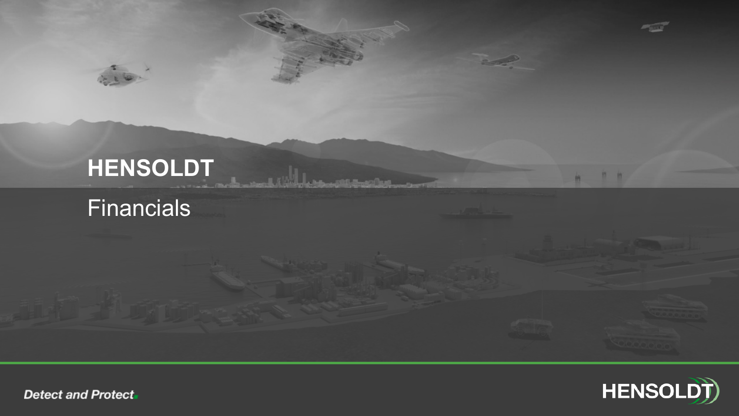# **HENSOLDT Financials**

and a wild concentration



竹竹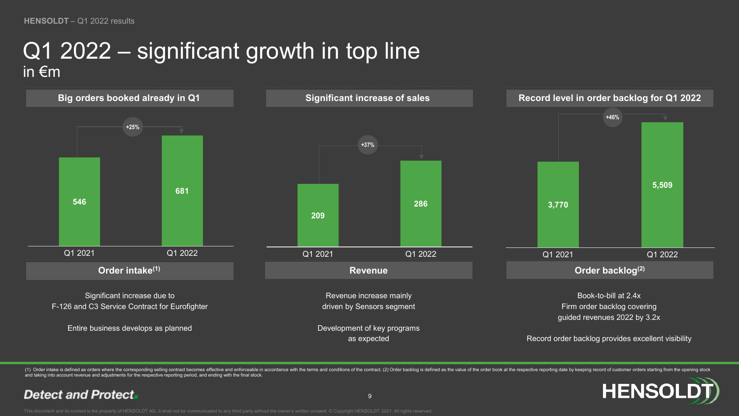**HENSOLDT** – Q1 2022 results

#### Q1 2022 – significant growth in top line in €m



(1) Order intake is defined as orders where the corresponding selling contract becomes effective and enforceable in accordance with the terms and conditions of the contract. (2) Order backlog is defined as the value of the and taking into account revenue and adjustments for the respective reporting period, and ending with the final stock.

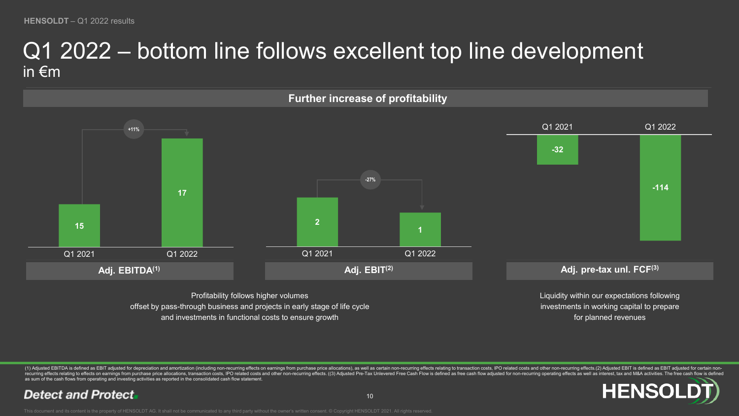**HENSOLDT** – Q1 2022 results

#### Q1 2022 – bottom line follows excellent top line development in €m



**Further increase of profitability**

Profitability follows higher volumes offset by pass-through business and projects in early stage of life cycle and investments in functional costs to ensure growth

Liquidity within our expectations following investments in working capital to prepare for planned revenues

(1) Adjusted EBITDA is defined as EBIT adjusted for depreciation and amortization (including non-recurring effects on earnings from purchase price allocations), as well as certain non-recurring effects relating to transact recurring effects relating to effects on earnings from purchase price allocations, transaction costs, IPO related costs and other non-recurring effects. ((3) Adjusted Pre-Tax Unlevered Free Cash Flow is defined as free cas as sum of the cash flows from operating and investing activities as reported in the consolidated cash flow statement.

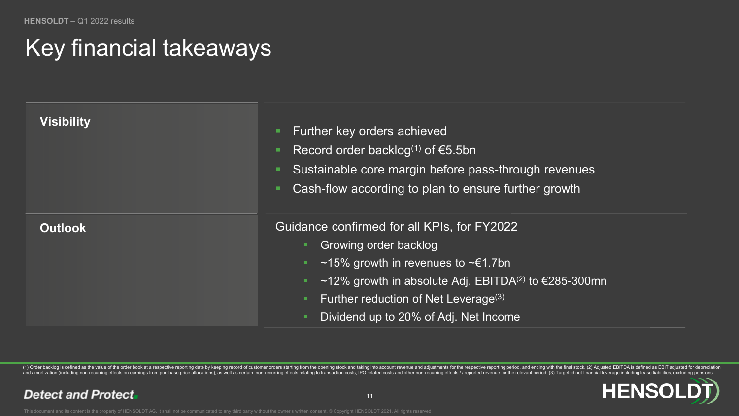## Key financial takeaways

| <b>Visibility</b> | Further key orders achieved<br>п<br>Record order backlog <sup>(1)</sup> of $65.5$ bn<br>п<br>Sustainable core margin before pass-through revenues<br>п<br>Cash-flow according to plan to ensure further growth<br>п                                                                         |
|-------------------|---------------------------------------------------------------------------------------------------------------------------------------------------------------------------------------------------------------------------------------------------------------------------------------------|
| <b>Outlook</b>    | Guidance confirmed for all KPIs, for FY2022<br>Growing order backlog<br>~15% growth in revenues to $\neg \in 1.7$ bn<br>$\sim$ 12% growth in absolute Adj. EBITDA <sup>(2)</sup> to €285-300mn<br>Further reduction of Net Leverage <sup>(3)</sup><br>Dividend up to 20% of Adj. Net Income |

(1) Order backlog is defined as the value of the order book at a respective reporting date by keeping record of customer orders starting from the opening stock and taking into account revenue and adjustments for the respec

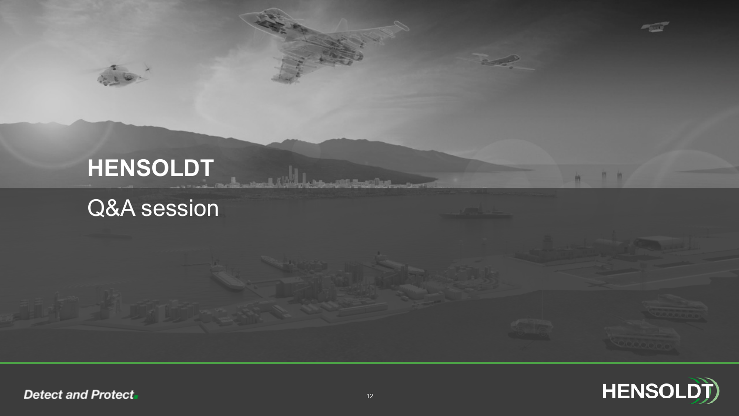# **HENSOLDT** Q&A session

in in

**Sept of the Labour Commentary of the Commentary**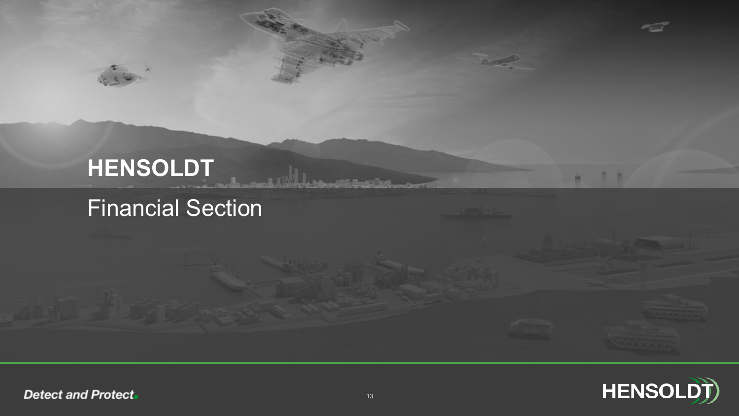# **HENSOLDT** Financial Section

竹竹

**Mount Consider**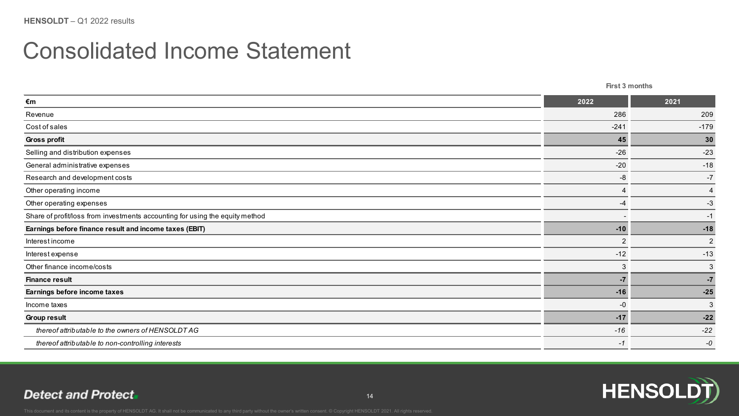## Consolidated Income Statement

|                                                                              |                | First 3 months |  |
|------------------------------------------------------------------------------|----------------|----------------|--|
| €m                                                                           | 2022           | 2021           |  |
| Revenue                                                                      | 286            | 209            |  |
| Cost of sales                                                                | $-241$         | $-179$         |  |
| Gross profit                                                                 | 45             | 30             |  |
| Selling and distribution expenses                                            | $-26$          | $-23$          |  |
| General administrative expenses                                              | $-20$          | $-18$          |  |
| Research and development costs                                               | -8             | $-7$           |  |
| Other operating income                                                       | 4              | $\overline{4}$ |  |
| Other operating expenses                                                     | -4             | $-3$           |  |
| Share of profit/loss from investments accounting for using the equity method |                | $-1$           |  |
| Earnings before finance result and income taxes (EBIT)                       | $-10$          | $-18$          |  |
| Interest income                                                              | $\overline{2}$ | $\overline{2}$ |  |
| Interest expense                                                             | $-12$          | $-13$          |  |
| Other finance income/costs                                                   | $\mathbf{3}$   | 3              |  |
| <b>Finance result</b>                                                        | -7             | $-7$           |  |
| Earnings before income taxes                                                 | $-16$          | $-25$          |  |
| Income taxes                                                                 | $-0$           | 3              |  |
| <b>Group result</b>                                                          | $-17$          | $-22$          |  |
| thereof attributable to the owners of HENSOLDTAG                             | $-16$          | $-22$          |  |
| thereof attributable to non-controlling interests                            | -1             | -0             |  |
|                                                                              |                |                |  |

**Detect and Protect.** 

**HENSOLDT)**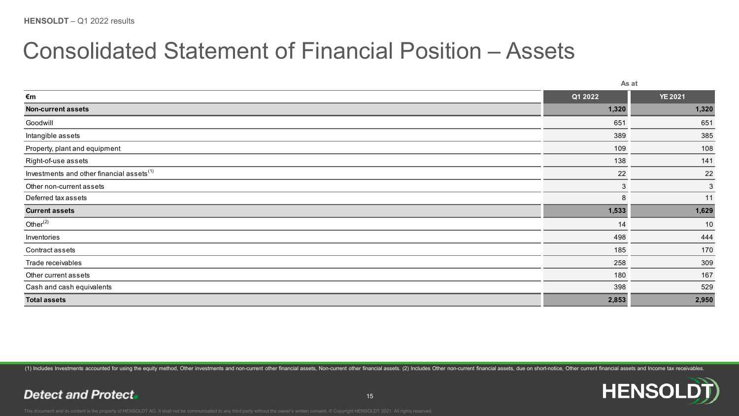### Consolidated Statement of Financial Position – Assets

| As at   |                |  |
|---------|----------------|--|
| Q1 2022 | <b>YE 2021</b> |  |
| 1,320   | 1,320          |  |
| 651     | 651            |  |
| 389     | 385            |  |
| 109     | 108            |  |
| 138     | 141            |  |
| 22      | 22             |  |
| 3       | 3              |  |
| 8       | 11             |  |
| 1,533   | 1,629          |  |
| 14      | 10             |  |
| 498     | 444            |  |
| 185     | 170            |  |
| 258     | 309            |  |
| 180     | 167            |  |
| 398     | 529            |  |
| 2,853   | 2,950          |  |
|         |                |  |

(1) Includes Investments accounted for using the equity method, Other investments and non-current other financial assets, Non-current other financial assets. (2) Includes Other non-current financial assets, due on short-no

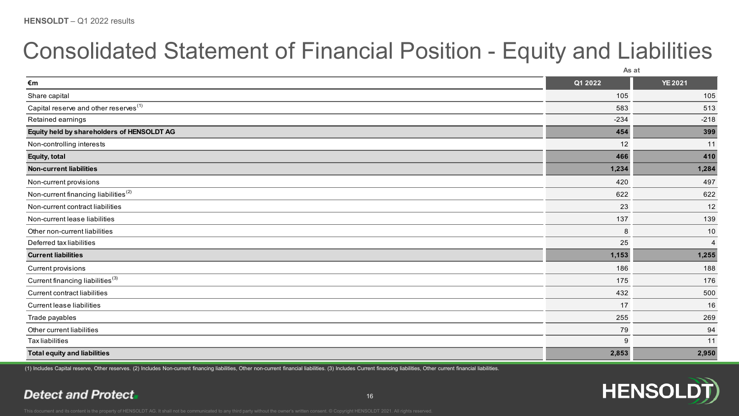## Consolidated Statement of Financial Position - Equity and Liabilities

**As at**

| €m                                                | Q1 2022 | <b>YE 2021</b> |
|---------------------------------------------------|---------|----------------|
| Share capital                                     | 105     | 105            |
| Capital reserve and other reserves <sup>(1)</sup> | 583     | 513            |
| Retained earnings                                 | $-234$  | $-218$         |
| Equity held by shareholders of HENSOLDT AG        | 454     | 399            |
| Non-controlling interests                         | 12      | 11             |
| Equity, total                                     | 466     | 410            |
| <b>Non-current liabilities</b>                    | 1,234   | 1,284          |
| Non-current provisions                            | 420     | 497            |
| Non-current financing liabilities <sup>(2)</sup>  | 622     | 622            |
| Non-current contract liabilities                  | 23      | 12             |
| Non-current lease liabilities                     | 137     | 139            |
| Other non-current liabilities                     | 8       | 10             |
| Deferred tax liabilities                          | 25      | $\overline{4}$ |
| <b>Current liabilities</b>                        | 1,153   | 1,255          |
| <b>Current provisions</b>                         | 186     | 188            |
| Current financing liabilities <sup>(3)</sup>      | 175     | 176            |
| <b>Current contract liabilities</b>               | 432     | 500            |
| <b>Current lease liabilities</b>                  | 17      | 16             |
| Trade payables                                    | 255     | 269            |
| Other current liabilities                         | 79      | 94             |
| <b>Taxliabilities</b>                             | 9       | 11             |
| <b>Total equity and liabilities</b>               | 2,853   | 2,950          |
|                                                   |         |                |

(1) Includes Capital reserve, Other reserves. (2) Includes Non-current financing liabilities, Other non-current financial liabilities. (3) Includes Current financing liabilities, Other current financial liabilities.

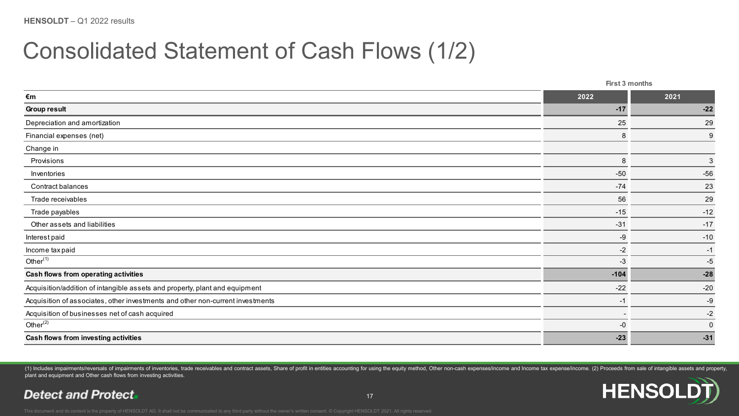## Consolidated Statement of Cash Flows (1/2)

|                                                                                |                          | First 3 months |  |  |
|--------------------------------------------------------------------------------|--------------------------|----------------|--|--|
| €m                                                                             | 2022                     | 2021           |  |  |
| Group result                                                                   | $-17$                    | $-22$          |  |  |
| Depreciation and amortization                                                  | 25                       | 29             |  |  |
| Financial expenses (net)                                                       | 8                        | 9              |  |  |
| Change in                                                                      |                          |                |  |  |
| Provisions                                                                     | 8                        | 3              |  |  |
| Inventories                                                                    | $-50$                    | $-56$          |  |  |
| Contract balances                                                              | $-74$                    | 23             |  |  |
| Trade receivables                                                              | 56                       | 29             |  |  |
| Trade payables                                                                 | $-15$                    | $-12$          |  |  |
| Other assets and liabilities                                                   | $-31$                    | $-17$          |  |  |
| Interest paid                                                                  | $-9$                     | $-10$          |  |  |
| Income tax paid                                                                | $-2$                     | $-1$           |  |  |
| Other $(1)$                                                                    | $-3$                     | $-5$           |  |  |
| Cash flows from operating activities                                           | $-104$                   | $-28$          |  |  |
| Acquisition/addition of intangible assets and property, plant and equipment    | $-22$                    | $-20$          |  |  |
| Acquisition of associates, other investments and other non-current investments | $-1$                     | $-9$           |  |  |
| Acquisition of businesses net of cash acquired                                 | $\overline{\phantom{a}}$ | $-2$           |  |  |
| Other $(2)$                                                                    | $-0$                     | $\mathbf 0$    |  |  |
| Cash flows from investing activities                                           | $-23$                    | $-31$          |  |  |

(1) Includes impairments/reversals of impairments of inventories, trade receivables and contract assets, Share of profit in entities accounting for using the equity method, Other non-cash expenses/income and Income tax exp plant and equipment and Other cash flows from investing activities.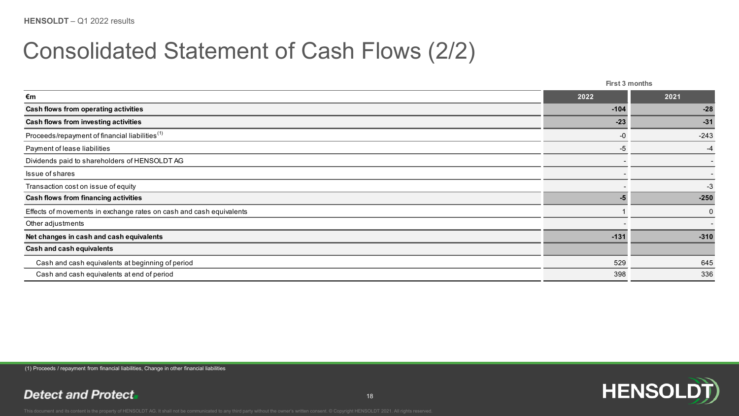## Consolidated Statement of Cash Flows (2/2)

|                                                                     | First 3 months  |                          |  |
|---------------------------------------------------------------------|-----------------|--------------------------|--|
| €m                                                                  | 2022            | 2021                     |  |
| Cash flows from operating activities                                | $-104$          | $-28$                    |  |
| Cash flows from investing activities                                | $-23$           | $-31$                    |  |
| Proceeds/repayment of financial liabilities <sup>(1)</sup>          | $-0$            | $-243$                   |  |
| Payment of lease liabilities                                        | $-5$            | $-4$                     |  |
| Dividends paid to shareholders of HENSOLDT AG                       | $\blacksquare$  | $\overline{\phantom{a}}$ |  |
| Issue of shares                                                     | $\blacksquare$  | $\qquad \qquad$          |  |
| Transaction cost on issue of equity                                 | $\qquad \qquad$ | $-3$                     |  |
| Cash flows from financing activities                                |                 | $-250$                   |  |
| Effects of movements in exchange rates on cash and cash equivalents |                 | $\mathbf{0}$             |  |
| Other adjustments                                                   |                 |                          |  |
| Net changes in cash and cash equivalents                            | $-131$          | $-310$                   |  |
| Cash and cash equivalents                                           |                 |                          |  |
| Cash and cash equivalents at beginning of period                    | 529             | 645                      |  |
| Cash and cash equivalents at end of period                          | 398             | 336                      |  |
|                                                                     |                 |                          |  |

(1) Proceeds / repayment from financial liabilities, Change in other financial liabilities

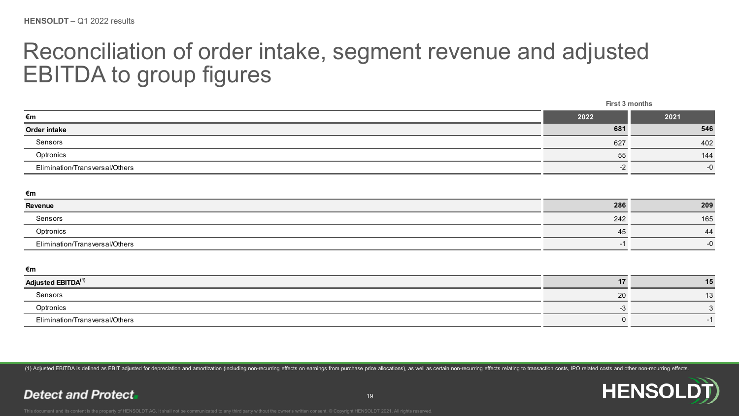#### Reconciliation of order intake, segment revenue and adjusted EBITDA to group figures

|                                         |      | First 3 months |
|-----------------------------------------|------|----------------|
| €m                                      | 2022 | 2021           |
| <b>Order intake</b>                     |      | 546<br>681     |
| Sensors                                 | 627  | 402            |
| Optronics                               |      | 144<br>55      |
| Elimination/Transversal/Others          |      | $-2$<br>$-0$   |
| €m<br><b>Revenue</b>                    |      | 209<br>286     |
| Sensors                                 |      | 165<br>242     |
| Optronics                               |      | 45<br>44       |
| Elimination/Transversal/Others          |      | $-0$<br>$-1$   |
| €m                                      |      |                |
| $\Lambda$ diustod ERITD $\Lambda^{(1)}$ |      | 15<br>17       |

| Adjusted EBITDA <sup>(1)</sup> |    | 15                |
|--------------------------------|----|-------------------|
| Sensors                        | 20 | $\sqrt{2}$<br>. . |
| Optronics                      |    |                   |
| Elimination/Transversal/Others |    |                   |

(1) Adjusted EBITDA is defined as EBIT adjusted for depreciation and amortization (including non-recurring effects on earnings from purchase price allocations), as well as certain non-recurring effects relating to transact

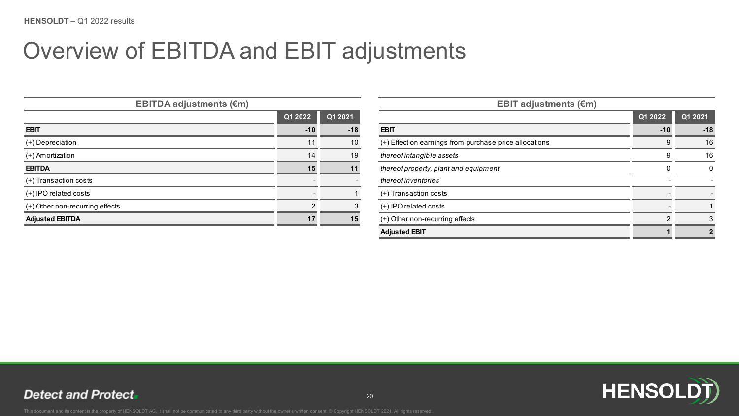## Overview of EBITDA and EBIT adjustments

| <b>EBITDA adjustments (€m)</b>  |         |         | <b>EBIT adjustments (<math>\epsilon</math>m)</b>       |         |         |
|---------------------------------|---------|---------|--------------------------------------------------------|---------|---------|
|                                 | Q1 2022 | Q1 2021 |                                                        | Q1 2022 | Q1 2021 |
| <b>EBIT</b>                     | $-10$   | $-18$   | <b>EBIT</b>                                            | $-10$   | $-18$   |
| (+) Depreciation                |         | 10      | (+) Effect on earnings from purchase price allocations | 9       | 16      |
| (+) Amortization                | 14      | 19      | thereof intangible assets                              |         | 16      |
| <b>EBITDA</b>                   | 15      | 11      | thereof property, plant and equipment                  |         |         |
| (+) Transaction costs           |         |         | thereof inventories                                    |         |         |
| (+) IPO related costs           |         |         | (+) Transaction costs                                  |         |         |
| (+) Other non-recurring effects |         |         | (+) IPO related costs                                  |         |         |
| <b>Adjusted EBITDA</b>          |         | 15      | (+) Other non-recurring effects                        |         |         |

|               |         | <b>EBIT adjustments (€m)</b>                           |         |              |
|---------------|---------|--------------------------------------------------------|---------|--------------|
| Q1 2022       | Q1 2021 |                                                        | Q1 2022 | Q1 2021      |
| $-10$         | $-18$   | <b>EBIT</b>                                            | $-10$   | $-18$        |
| 11            | 10      | (+) Effect on earnings from purchase price allocations | 9       | 16           |
| 14            | 19      | thereof intangible assets                              | 9       | 16           |
| 15            | 11      | thereof property, plant and equipment                  | 0       | $\mathbf{0}$ |
|               |         | thereof inventories                                    |         |              |
|               |         | (+) Transaction costs                                  |         |              |
| $\mathcal{P}$ | 3       | (+) IPO related costs                                  |         |              |
| 17            | 15      | (+) Other non-recurring effects                        | 2       | 3            |
|               |         | <b>Adjusted EBIT</b>                                   |         |              |

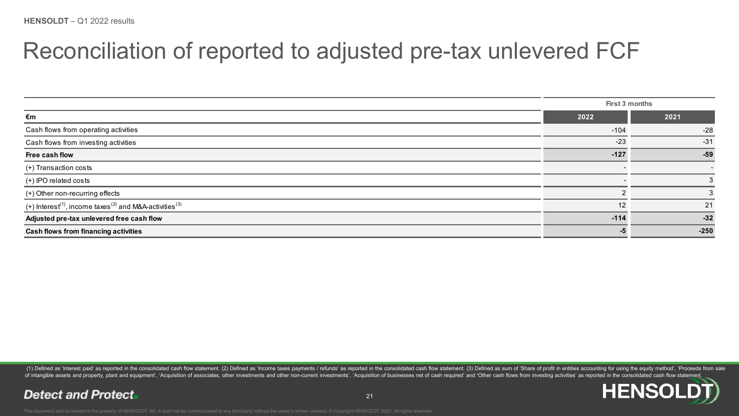## Reconciliation of reported to adjusted pre-tax unlevered FCF

|                                                                                             |        | First 3 months |  |
|---------------------------------------------------------------------------------------------|--------|----------------|--|
| €m                                                                                          | 2022   | 2021           |  |
| Cash flows from operating activities                                                        | $-104$ | $-28$          |  |
| Cash flows from investing activities                                                        | $-23$  | $-31$          |  |
| Free cash flow                                                                              |        | $-59$          |  |
| (+) Transaction costs                                                                       |        |                |  |
| (+) IPO related costs                                                                       |        |                |  |
| (+) Other non-recurring effects                                                             |        |                |  |
| (+) Interest <sup>(1)</sup> , income taxes <sup>(2)</sup> and M&A-activities <sup>(3)</sup> |        | 21             |  |
| Adjusted pre-tax unlevered free cash flow                                                   |        | $-32$          |  |
| Cash flows from financing activities<br>-5                                                  |        | $-250$         |  |

(1) Defined as 'Interest paid' as reported in the consolidated cash flow statement. (2) Defined as 'Income taxes payments / refunds' as reported in the consolidated cash flow statement. (3) Defined as sum of 'Share of prof of intangible assets and property, plant and equipment', 'Acquisition of associates, other investments and other non-current investments', 'Acquisition of businesses net of cash required' and 'Other cash flows from investi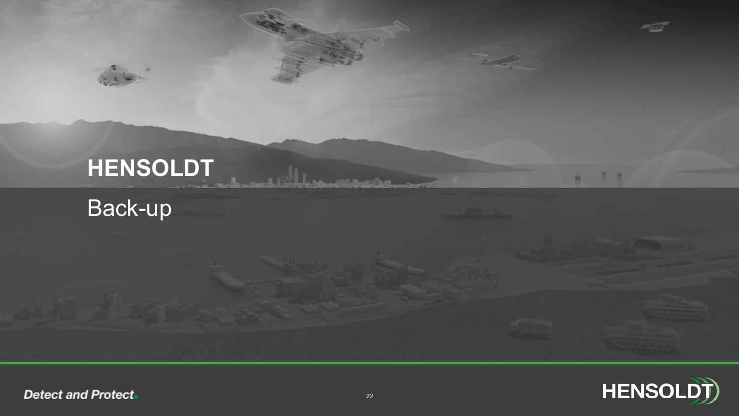#### **HENSOLDT A All Las manufica** Back-up



竹竹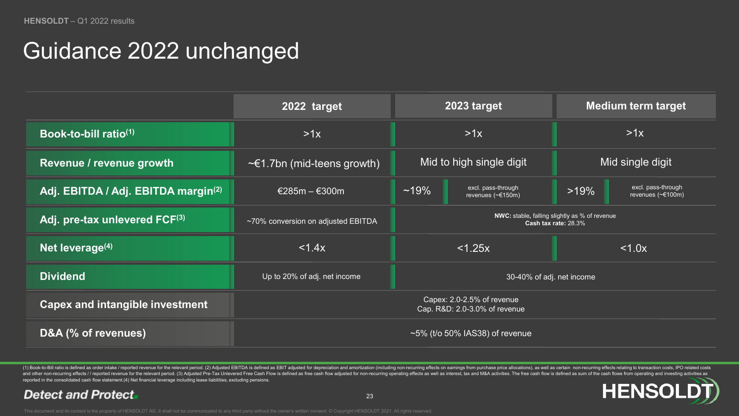## Guidance 2022 unchanged

|                                                 | 2022 target                                                 | 2023 target                                                           | <b>Medium term target</b>                          |
|-------------------------------------------------|-------------------------------------------------------------|-----------------------------------------------------------------------|----------------------------------------------------|
| Book-to-bill ratio $(1)$                        | >1x                                                         | >1x                                                                   | >1x                                                |
| Revenue / revenue growth                        | $\sim \epsilon$ 1.7bn (mid-teens growth)                    | Mid to high single digit                                              | Mid single digit                                   |
| Adj. EBITDA / Adj. EBITDA margin <sup>(2)</sup> | €285m – €300m                                               | excl. pass-through<br>$~19\%$<br>revenues (~€150m)                    | excl. pass-through<br>$>19\%$<br>revenues (~€100m) |
| Adj. pre-tax unlevered FCF(3)                   | ~70% conversion on adjusted EBITDA                          | NWC: stable, falling slightly as % of revenue<br>Cash tax rate: 28.3% |                                                    |
| Net leverage $(4)$                              | < 1.4x                                                      | $<$ 1.25 $\times$                                                     | < 1.0x                                             |
| <b>Dividend</b>                                 | Up to 20% of adj. net income                                | 30-40% of adj. net income                                             |                                                    |
| <b>Capex and intangible investment</b>          | Capex: 2.0-2.5% of revenue<br>Cap. R&D: 2.0-3.0% of revenue |                                                                       |                                                    |
| D&A (% of revenues)                             | $\sim$ 5% (t/o 50% IAS38) of revenue                        |                                                                       |                                                    |

(1) Book-to-Bill ratio is defined as order intake / reported revenue for the relevant period. (2) Adjusted EBITDA is defined as EBIT adjusted for depreciation and amortization (including non-recurring effects on earnings f and other non-recurring effects // reported revenue for the relevant period. (3) Adjusted Pre-Tax Unlevered Free Cash Flow is defined as free cash flow adjusted for non-recurring operating effects as well as interest, tax reported in the consolidated cash flow statement.(4) Net financial leverage including lease liabilities, excluding pensions.

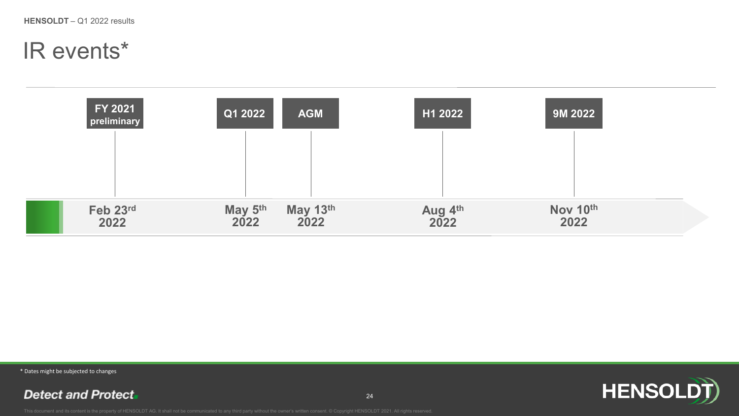## IR events\*



\* Dates might be subjected to changes

**Detect and Protect.** 



24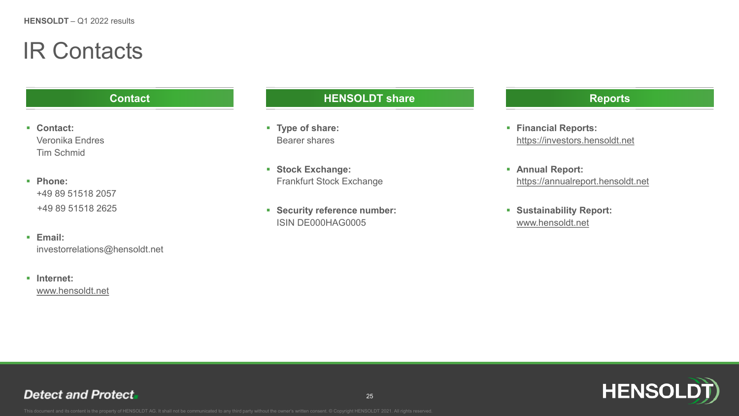## IR Contacts

- **Contact:** Veronika Endres Tim Schmid
- **Phone:**  +49 89 51518 2057 +49 89 51518 2625
- **Email:**  investorrelations@hensoldt.net
- **Internet:**  [www.hensoldt.net](http://www.hensoldt.net/)

#### **Contact Reports**

- **Type of share:**  Bearer shares
- **Stock Exchange:** Frankfurt Stock Exchange
- **Security reference number:** ISIN DE000HAG0005

- **Financial Reports:** [https://investors.hensoldt.net](https://investors.hensoldt.net/)
- **Annual Report:**  [https://annualreport.hensoldt.net](http://www.annualreport.hensoldt.net/)
- **Sustainability Report:** [www.hensoldt.net](http://www.hensoldt.net/)